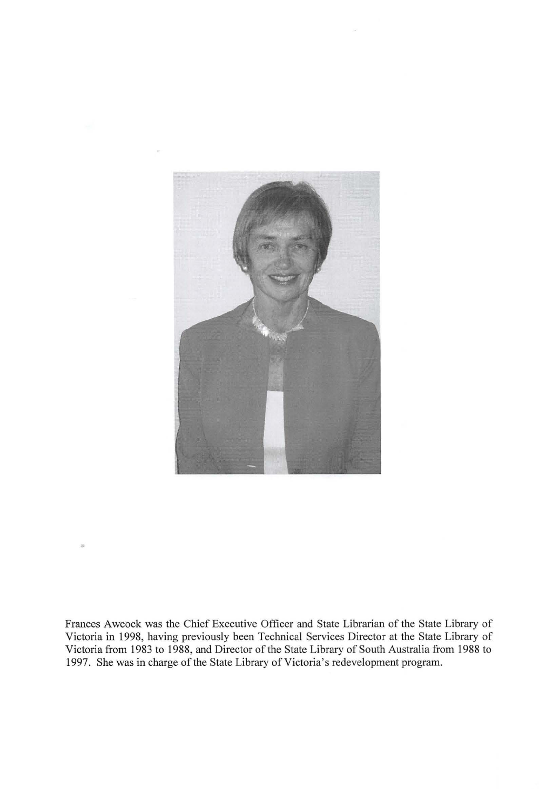

Frances Awcock was the Chief Executive Officer and State Librarian of the State Library of Victoria in 1998, having previously been Technical Services Director at the State Library of Victoria from 1983 to 1988, and Director of the State Library of South Australia from 1988 to 1997. She was in charge of the State Library of Victoria's redevelopment program.

•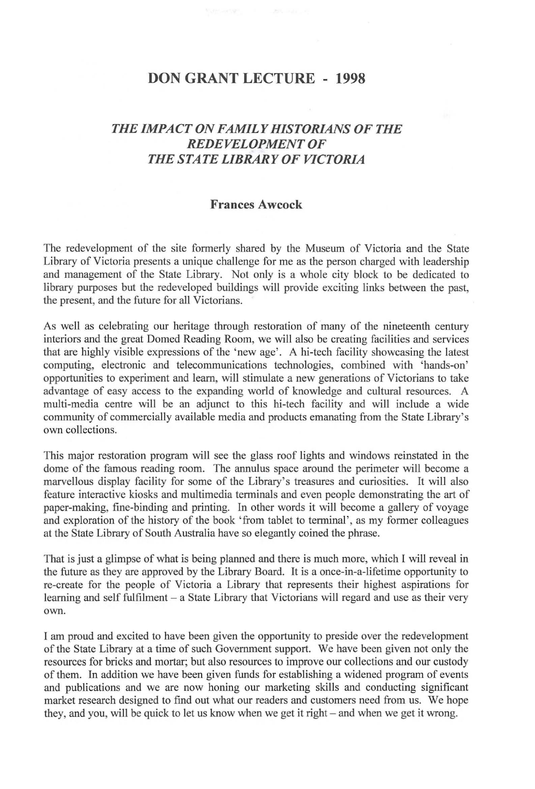## **DON GRANT LECTURE - 1998**

## *THE IMPACT ON FAMILY HISTORIANS OF THE REDEVELOPMENT OF THE STATE LIBRARY OF VICTORIA*

## **Frances Awcock**

The redevelopment of the site formerly shared by the Museum of Victoria and the State Library of Victoria presents a unique challenge for me as the person charged with leadership and management of the State Library. Not only is a whole city block to be dedicated to library purposes but the redeveloped buildings will provide exciting links between the past, the present, and the future for all Victorians.

As well as celebrating our heritage through restoration of many of the nineteenth century interiors and the great Domed Reading Room, we will also be creating facilities and services that are highly visible expressions of the ' new age'. A hi-tech facility showcasing the latest computing, electronic and telecommunications technologies, combined with 'hands-on' opportunities to experiment and learn, will stimulate a new generations of Victorians to take advantage of easy access to the expanding world of knowledge and cultural resources. A multi-media centre will be an adjunct to this hi-tech facility and will include a wide community of commercially available media and products emanating from the State Library's own collections.

This major restoration program will see the glass roof lights and windows reinstated in the dome of the famous reading room. The annulus space around the perimeter will become a marvellous display facility for some of the Library's treasures and curiosities. It will also feature interactive kiosks and multimedia terminals and even people demonstrating the art of paper-making, fine-binding and printing. In other words it will become a gallery of voyage and exploration of the history of the book 'from tablet to terminal', as my former colleagues at the State Library of South Australia have so elegantly coined the phrase.

That is just a glimpse of what is being planned and there is much more, which I will reveal in the future as they are approved by the Library Board. It is a once-in-a-lifetime opportunity to re-create for the people of Victoria a Library that represents their highest aspirations for learning and self fulfilment - a State Library that Victorians will regard and use as their very own.

I am proud and excited to have been given the opportunity to preside over the redevelopment of the State Library at a time of such Government support. We have been given not only the resources for bricks and mortar; but also resources to improve our collections and our custody of them. In addition we have been given funds for establishing a widened program of events and publications and we are now honing our marketing skills and conducting significant market research designed to find out what our readers and customers need from us. We hope they, and you, will be quick to let us know when we get it right- and when we get it wrong.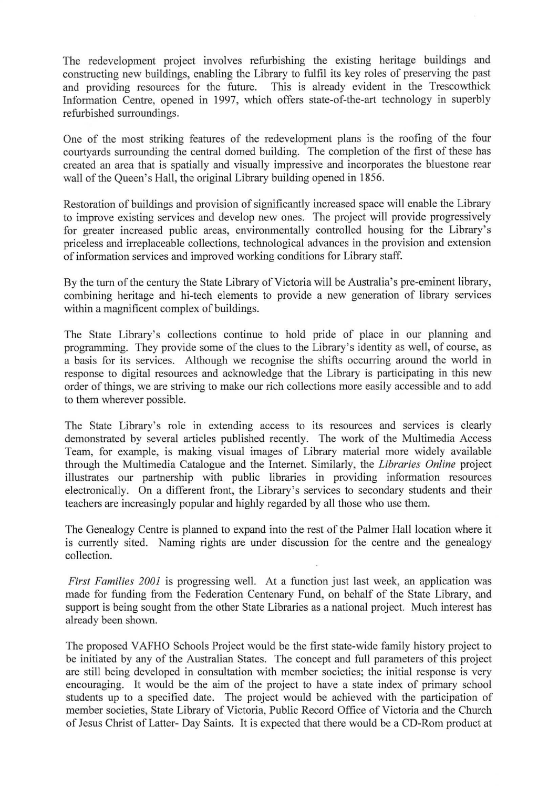The redevelopment project involves refurbishing the existing heritage buildings and constructing new buildings, enabling the Library to fulfil its key roles of preserving the past This is already evident in the Trescowthick Information Centre, opened in 1997, which offers state-of-the-art technology in superbly refurbished surroundings.

One of the most striking features of the redevelopment plans is the roofing of the four courtyards surrounding the central domed building. The completion of the first of these has created an area that is spatially and visually impressive and incorporates the bluestone rear wall of the Queen's Hall, the original Library building opened in 1856.

Restoration of buildings and provision of significantly increased space will enable the Library to improve existing services and develop new ones. The project will provide progressively for greater increased public areas, environmentally controlled housing for the Library's priceless and irreplaceable collections, technological advances in the provision and extension of information services and improved working conditions for Library staff.

By the turn of the century the State Library of Victoria will be Australia's pre-eminent library, combining heritage and hi-tech elements to provide a new generation of library services within a magnificent complex of buildings.

The State Library's collections continue to hold pride of place in our planning and programming. They provide some of the clues to the Library's identity as well, of course, as a basis for its services. Although we recognise the shifts occurring around the world in response to digital resources and acknowledge that the Library is participating in this new order of things, we are striving to make our rich collections more easily accessible and to add to them wherever possible.

The State Library's role in extending access to its resources and services is clearly demonstrated by several articles published recently. The work of the Multimedia Access Team, for example, is making visual images of Library material more widely available through the Multimedia Catalogue and the Internet. Similarly, the *Libraries Online* project illustrates our partnership with public libraries in providing information resources electronically. On a different front, the Library's services to secondary students and their teachers are increasingly popular and highly regarded by all those who use them.

The Genealogy Centre is planned to expand into the rest of the Palmer Hall location where it is currently sited. Naming rights are under discussion for the centre and the genealogy collection.

*First Families 2001* is progressing well. At a function just last week, an application was made for funding from the Federation Centenary Fund, on behalf of the State Library, and support is being sought from the other State Libraries as a national project. Much interest has already been shown.

The proposed V AFHO Schools Project would be the first state-wide family history project to be initiated by any of the Australian States. The concept and full parameters of this project are still being developed in consultation with member societies; the initial response is very encouraging. It would be the aim of the project to have a state index of primary school students up to a specified date. The project would be achieved with the participation of member societies, State Library of Victoria, Public Record Office of Victoria and the Church of Jesus Christ of Latter- Day Saints. It is expected that there would be a CD-Rom product at